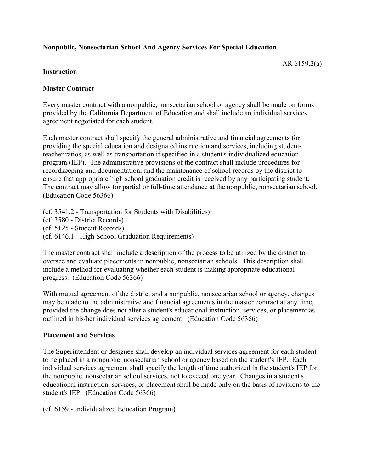# **Nonpublic, Nonsectarian School And Agency Services For Special Education**

AR 6159.2(a)

### **Instruction**

## **Master Contract**

Every master contract with a nonpublic, nonsectarian school or agency shall be made on forms provided by the California Department of Education and shall include an individual services agreement negotiated for each student.

Each master contract shall specify the general administrative and financial agreements for providing the special education and designated instruction and services, including studentteacher ratios, as well as transportation if specified in a student's individualized education program (IEP). The administrative provisions of the contract shall include procedures for recordkeeping and documentation, and the maintenance of school records by the district to ensure that appropriate high school graduation credit is received by any participating student. The contract may allow for partial or full-time attendance at the nonpublic, nonsectarian school. (Education Code 56366)

(cf. 3541.2 - Transportation for Students with Disabilities) (cf. 3580 - District Records) (cf. 5125 - Student Records) (cf. 6146.1 - High School Graduation Requirements)

The master contract shall include a description of the process to be utilized by the district to oversee and evaluate placements in nonpublic, nonsectarian schools. This description shall include a method for evaluating whether each student is making appropriate educational progress. (Education Code 56366)

With mutual agreement of the district and a nonpublic, nonsectarian school or agency, changes may be made to the administrative and financial agreements in the master contract at any time, provided the change does not alter a student's educational instruction, services, or placement as outlined in his/her individual services agreement. (Education Code 56366)

#### **Placement and Services**

The Superintendent or designee shall develop an individual services agreement for each student to be placed in a nonpublic, nonsectarian school or agency based on the student's IEP. Each individual services agreement shall specify the length of time authorized in the student's IEP for the nonpublic, nonsectarian school services, not to exceed one year. Changes in a student's educational instruction, services, or placement shall be made only on the basis of revisions to the student's IEP. (Education Code 56366)

(cf. 6159 - Individualized Education Program)